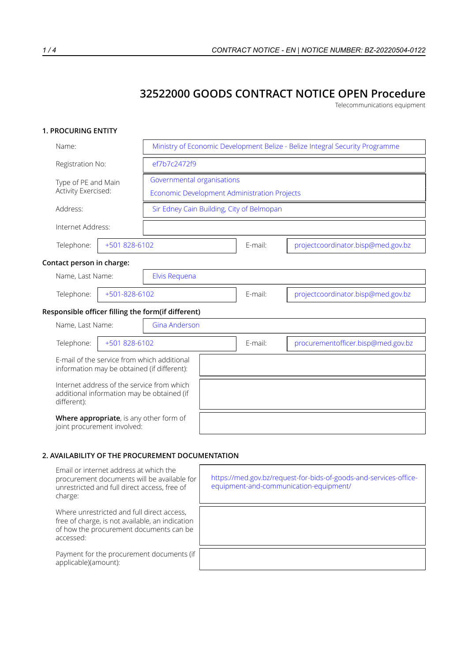# **32522000 GOODS CONTRACT NOTICE OPEN Procedure**

Telecommunications equipment

## **1. PROCURING ENTITY**

| Name:                                      |                                                                                            |                                           |         | Ministry of Economic Development Belize - Belize Integral Security Programme |  |  |
|--------------------------------------------|--------------------------------------------------------------------------------------------|-------------------------------------------|---------|------------------------------------------------------------------------------|--|--|
| Registration No:                           | ef7b7c2472f9                                                                               |                                           |         |                                                                              |  |  |
| Type of PE and Main<br>Activity Exercised: | Governmental organisations<br>Economic Development Administration Projects                 |                                           |         |                                                                              |  |  |
| Address:                                   |                                                                                            | Sir Edney Cain Building, City of Belmopan |         |                                                                              |  |  |
| Internet Address:                          |                                                                                            |                                           |         |                                                                              |  |  |
| Telephone:                                 | +501 828-6102                                                                              |                                           | E-mail: | projectcoordinator.bisp@med.gov.bz                                           |  |  |
| Contact person in charge:                  |                                                                                            |                                           |         |                                                                              |  |  |
| Name, Last Name:                           | Elvis Requena                                                                              |                                           |         |                                                                              |  |  |
| Telephone:                                 | +501-828-6102                                                                              |                                           | E-mail: | projectcoordinator.bisp@med.gov.bz                                           |  |  |
|                                            | Responsible officer filling the form(if different)                                         |                                           |         |                                                                              |  |  |
| Name, Last Name:                           | <b>Gina Anderson</b>                                                                       |                                           |         |                                                                              |  |  |
| Telephone:                                 | +501 828-6102                                                                              |                                           | E-mail: | procurementofficer.bisp@med.gov.bz                                           |  |  |
|                                            | E-mail of the service from which additional<br>information may be obtained (if different): |                                           |         |                                                                              |  |  |
| different):                                | Internet address of the service from which<br>additional information may be obtained (if   |                                           |         |                                                                              |  |  |
| joint procurement involved:                | Where appropriate, is any other form of                                                    |                                           |         |                                                                              |  |  |

#### **2. AVAILABILITY OF THE PROCUREMENT DOCUMENTATION**

| Email or internet address at which the<br>procurement documents will be available for<br>unrestricted and full direct access, free of<br>charge:      | https://med.gov.bz/request-for-bids-of-goods-and-services-office-<br>equipment-and-communication-equipment/ |
|-------------------------------------------------------------------------------------------------------------------------------------------------------|-------------------------------------------------------------------------------------------------------------|
| Where unrestricted and full direct access,<br>free of charge, is not available, an indication<br>of how the procurement documents can be<br>accessed: |                                                                                                             |
| Payment for the procurement documents (if<br>applicable)(amount):                                                                                     |                                                                                                             |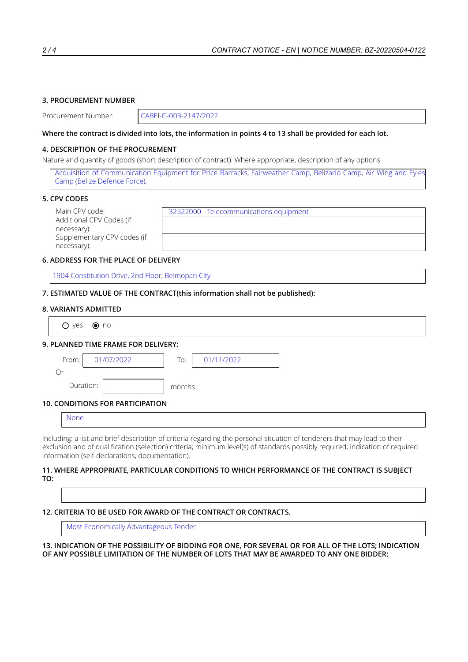## **3. PROCUREMENT NUMBER**

Procurement Number: CABEI-G-003-2147/2022

## Where the contract is divided into lots, the information in points 4 to 13 shall be provided for each lot.

#### **4. DESCRIPTION OF THE PROCUREMENT**

Nature and quantity of goods (short description of contract). Where appropriate, description of any options

Acquisition of Communication Equipment for Price Barracks, Fairweather Camp, Belizario Camp, Air Wing and Eyles Camp (Belize Defence Force).

#### **5. CPV CODES**

Additional CPV Codes (if necessary): Supplementary CPV codes (if necessary):

Main CPV code:  $\sqrt{32522000}$  - Telecommunications equipment

## **6. ADDRESS FOR THE PLACE OF DELIVERY**

1904 Constitution Drive, 2nd Floor, Belmopan City

**7. ESTIMATED VALUE OF THE CONTRACT(this information shall not be published):**

#### **8. VARIANTS ADMITTED**

| $\bigcirc$ yes | $\odot$ no                              |        |            |  |
|----------------|-----------------------------------------|--------|------------|--|
|                | 9. PLANNED TIME FRAME FOR DELIVERY:     |        |            |  |
| From:          | 01/07/2022                              | To:    | 01/11/2022 |  |
| Or             |                                         |        |            |  |
|                | Duration:                               | months |            |  |
|                | <b>10. CONDITIONS FOR PARTICIPATION</b> |        |            |  |
| <b>None</b>    |                                         |        |            |  |

Including: a list and brief description of criteria regarding the personal situation of tenderers that may lead to their exclusion and of qualification (selection) criteria; minimum level(s) of standards possibly required; indication of required information (self-declarations, documentation).

#### **11. WHERE APPROPRIATE, PARTICULAR CONDITIONS TO WHICH PERFORMANCE OF THE CONTRACT IS SUBJECT TO:**

 $\sqrt{ }$ 

# **12. CRITERIA TO BE USED FOR AWARD OF THE CONTRACT OR CONTRACTS.**

Most Economically Advantageous Tender

13. INDICATION OF THE POSSIBILITY OF BIDDING FOR ONE, FOR SEVERAL OR FOR ALL OF THE LOTS; INDICATION **OF ANY POSSIBLE LIMITATION OF THE NUMBER OF LOTS THAT MAY BE AWARDED TO ANY ONE BIDDER:**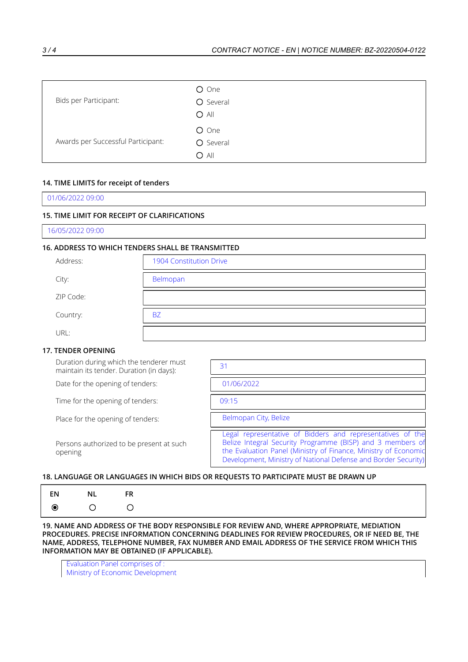| Bids per Participant:              | O One<br>O Several<br>$O$ All |
|------------------------------------|-------------------------------|
| Awards per Successful Participant: | O One<br>O Several<br>$O$ All |

## **14. TIME LIMITS for receipt of tenders**

01/06/2022 09:00

## **15. TIME LIMIT FOR RECEIPT OF CLARIFICATIONS**

16/05/2022 09:00

# **16. ADDRESS TO WHICH TENDERS SHALL BE TRANSMITTED**

| Address:  | 1904 Constitution Drive |
|-----------|-------------------------|
| City:     | Belmopan                |
| ZIP Code: |                         |
| Country:  | <b>BZ</b>               |
| URL:      |                         |

#### **17. TENDER OPENING**

Duration during which the tenderer must maintain its tender. Duration (in days):

Date for the opening of tenders:

Time for the opening of tenders:

Place for the opening of tenders:

Persons authorized to be present at such opening

| 31                                                                                                                                                                                                                                                            |
|---------------------------------------------------------------------------------------------------------------------------------------------------------------------------------------------------------------------------------------------------------------|
| 01/06/2022                                                                                                                                                                                                                                                    |
| 09.15                                                                                                                                                                                                                                                         |
| Belmopan City, Belize                                                                                                                                                                                                                                         |
| Legal representative of Bidders and representatives of the<br>Belize Integral Security Programme (BISP) and 3 members of<br>the Evaluation Panel (Ministry of Finance, Ministry of Economic<br>Development, Ministry of National Defense and Border Security) |

## **18. LANGUAGE OR LANGUAGES IN WHICH BIDS OR REQUESTS TO PARTICIPATE MUST BE DRAWN UP**

| $\vert$ en $\vert$ nl $\vert$ fr |
|----------------------------------|
|                                  |

**19. NAME AND ADDRESS OF THE BODY RESPONSIBLE FOR REVIEW AND, WHERE APPROPRIATE, MEDIATION PROCEDURES. PRECISE INFORMATION CONCERNING DEADLINES FOR REVIEW PROCEDURES, OR IF NEED BE, THE NAME, ADDRESS, TELEPHONE NUMBER, FAX NUMBER AND EMAIL ADDRESS OF THE SERVICE FROM WHICH THIS INFORMATION MAY BE OBTAINED (IF APPLICABLE).**

Evaluation Panel comprises of : Ministry of Economic Development